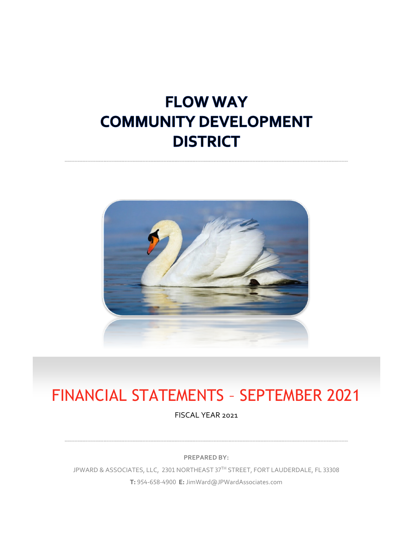# **FLOW WAY COMMUNITY DEVELOPMENT DISTRICT**



# FINANCIAL STATEMENTS – SEPTEMBER 2021

FISCAL YEAR 2021

**PREPARED BY:**

JPWARD & ASSOCIATES, LLC, 2301 NORTHEAST 37TH STREET, FORT LAUDERDALE, FL 33308 **T:** 954-658-4900 **E:** JimWard@JPWardAssociates.com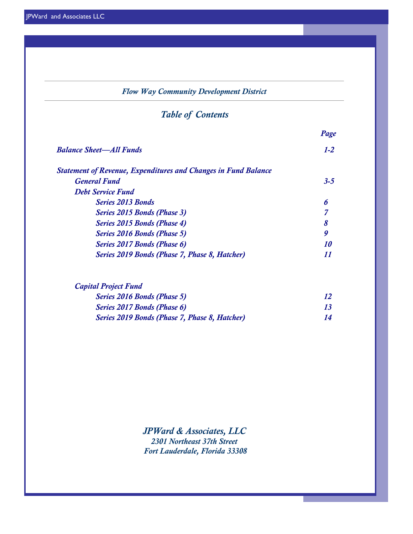### *Flow Way Community Development District*

# *Table of Contents*

| $1-2$<br><b>Balance Sheet—All Funds</b><br><b>Statement of Revenue, Expenditures and Changes in Fund Balance</b><br>$3 - 5$<br><b>General Fund</b><br><b>Debt Service Fund</b> |  |
|--------------------------------------------------------------------------------------------------------------------------------------------------------------------------------|--|
|                                                                                                                                                                                |  |
|                                                                                                                                                                                |  |
|                                                                                                                                                                                |  |
|                                                                                                                                                                                |  |
| <b>Series 2013 Bonds</b><br>6                                                                                                                                                  |  |
| Series 2015 Bonds (Phase 3)                                                                                                                                                    |  |
| Series 2015 Bonds (Phase 4)<br>8                                                                                                                                               |  |
| 9<br>Series 2016 Bonds (Phase 5)                                                                                                                                               |  |
| Series 2017 Bonds (Phase 6)<br>10                                                                                                                                              |  |
| Series 2019 Bonds (Phase 7, Phase 8, Hatcher)<br>11                                                                                                                            |  |

| <b>Series 2016 Bonds (Phase 5)</b>            |  |
|-----------------------------------------------|--|
| Series 2017 Bonds (Phase 6)                   |  |
| Series 2019 Bonds (Phase 7, Phase 8, Hatcher) |  |

*JPWard & Associates, LLC 2301 Northeast 37th Street Fort Lauderdale, Florida 33308*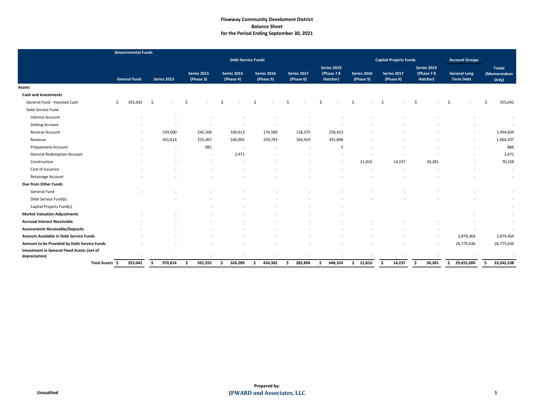# **Flowway Community Develoment District Balance Sheet for the Period Ending September 30, 2021**

|                                                             | <b>Governmental Funds</b> |                    |                                 |                                 |                                 |                          |                                             |                                 |                               |                                             |                                         |                                       |
|-------------------------------------------------------------|---------------------------|--------------------|---------------------------------|---------------------------------|---------------------------------|--------------------------|---------------------------------------------|---------------------------------|-------------------------------|---------------------------------------------|-----------------------------------------|---------------------------------------|
|                                                             |                           |                    |                                 | <b>Debt Service Funds</b>       |                                 |                          |                                             |                                 | <b>Capital Projects Funds</b> |                                             | <b>Account Groups</b>                   |                                       |
|                                                             | <b>General Fund</b>       | <b>Series 2013</b> | <b>Series 2015</b><br>(Phase 3) | <b>Series 2015</b><br>(Phase 4) | <b>Series 2016</b><br>(Phase 5) | Series 2017<br>(Phase 6) | <b>Series 2019</b><br>(Phase 78<br>Hatcher) | <b>Series 2016</b><br>(Phase 5) | Series 2017<br>(Phase 6)      | <b>Series 2019</b><br>(Phase 78<br>Hatcher) | <b>General Long</b><br><b>Term Debt</b> | <b>Totals</b><br>(Memorandum<br>Only) |
| Assets                                                      |                           |                    |                                 |                                 |                                 |                          |                                             |                                 |                               |                                             |                                         |                                       |
| <b>Cash and Investments</b>                                 |                           |                    |                                 |                                 |                                 |                          |                                             |                                 |                               |                                             |                                         |                                       |
| General Fund - Invested Cash                                | 355,042<br>Ŝ.             | -Ś                 | -Ś                              | Ś.                              | Ś                               |                          |                                             | Ś<br>$\sim$                     | -Ś                            | Ŝ.                                          | . Ś                                     | 355,042                               |
| Debt Service Fund                                           |                           |                    |                                 |                                 |                                 |                          |                                             |                                 |                               |                                             |                                         |                                       |
| <b>Interest Account</b>                                     |                           |                    |                                 |                                 |                                 |                          |                                             |                                 |                               |                                             |                                         | $\sim$                                |
| <b>Sinking Account</b>                                      |                           |                    |                                 |                                 |                                 |                          |                                             |                                 |                               |                                             |                                         | $\sim$                                |
| Reserve Account                                             | $\overline{\phantom{0}}$  | 539,000            | 245,306                         | 160,913                         | 174,589                         | 118,375                  | 256,422                                     |                                 |                               |                                             | $\overline{\phantom{a}}$                | 1,494,604                             |
| Revenue                                                     |                           | 431,814            | 255,367                         | 160,905                         | 259,793                         | 164,429                  | 391,898                                     |                                 |                               |                                             | $\overline{\phantom{a}}$                | 1,664,207                             |
| <b>Prepayment Account</b>                                   |                           |                    | 881                             | $\sim$                          |                                 |                          | -5                                          |                                 |                               |                                             |                                         | 886                                   |
| <b>General Redemption Account</b>                           |                           |                    |                                 | 2,471                           |                                 |                          |                                             |                                 |                               |                                             |                                         | 2,471                                 |
| Construction                                                |                           |                    |                                 |                                 |                                 |                          |                                             | 21,810                          | 14,237                        | 34,281                                      |                                         | 70,328                                |
| Cost of Issuance                                            |                           |                    |                                 |                                 |                                 |                          |                                             |                                 |                               |                                             |                                         | $\sim$                                |
| Retainage Account                                           |                           |                    |                                 |                                 |                                 |                          |                                             |                                 |                               |                                             |                                         | $\sim$                                |
| Due from Other Funds                                        |                           |                    |                                 |                                 |                                 |                          |                                             |                                 |                               |                                             |                                         |                                       |
| <b>General Fund</b>                                         |                           |                    |                                 |                                 |                                 |                          |                                             |                                 |                               |                                             |                                         | $\sim$                                |
| Debt Service Fund(s)                                        |                           |                    |                                 |                                 |                                 |                          |                                             |                                 |                               |                                             |                                         | $\sim$                                |
| Capital Projects Fund(s)                                    |                           |                    |                                 |                                 |                                 |                          |                                             |                                 |                               |                                             |                                         |                                       |
| <b>Market Valuation Adjustments</b>                         |                           |                    |                                 |                                 |                                 |                          |                                             |                                 |                               |                                             |                                         |                                       |
| <b>Accrued Interest Receivable</b>                          |                           |                    |                                 |                                 |                                 |                          |                                             |                                 |                               |                                             |                                         | $\sim$                                |
| <b>Assessments Receivable/Deposits</b>                      |                           |                    |                                 |                                 |                                 |                          |                                             |                                 |                               |                                             |                                         |                                       |
| <b>Amount Available in Debt Service Funds</b>               |                           |                    |                                 |                                 |                                 |                          |                                             |                                 |                               |                                             | 2,879,364                               | 2,879,364                             |
| Amount to be Provided by Debt Service Funds                 |                           |                    |                                 |                                 |                                 |                          |                                             |                                 |                               |                                             | 26,775,636                              | 26,775,636                            |
| Investment in General Fixed Assets (net of<br>depreciation) | ۰                         | $\sim$             |                                 |                                 |                                 | $\overline{\phantom{a}}$ |                                             |                                 |                               |                                             | $\overline{\phantom{a}}$                | $\sim$                                |
| Total Assets \$                                             | 355,042                   | 970,814<br>S.      | 501,555<br>- Ś                  | 324,289<br>-S                   | 434,382<br>Ŝ.                   | 282,804<br>-S            | 648,324<br>S.                               | 21,810<br>S.                    | 14,237<br>-S                  | 34,281<br>-S                                | 29,655,000<br>S.                        | 33,242,538<br>S.                      |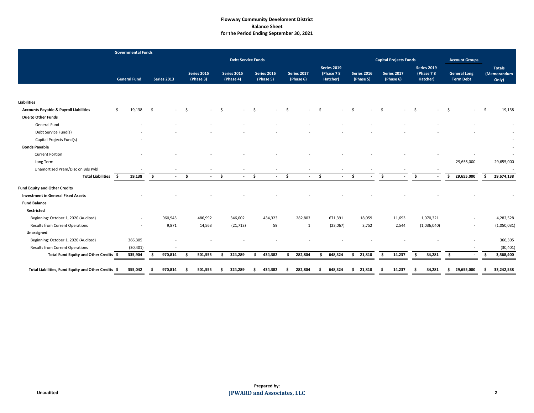# **Flowway Community Develoment District Balance Sheet for the Period Ending September 30, 2021**

|                                                     | <b>Governmental Funds</b> |               |                    |                     |                                 |    |                                 |     |                                 |                     |                          |                     |                                             |                          |                 |                               |     |                                             |    |                                         |     |                                       |
|-----------------------------------------------------|---------------------------|---------------|--------------------|---------------------|---------------------------------|----|---------------------------------|-----|---------------------------------|---------------------|--------------------------|---------------------|---------------------------------------------|--------------------------|-----------------|-------------------------------|-----|---------------------------------------------|----|-----------------------------------------|-----|---------------------------------------|
|                                                     |                           |               |                    |                     |                                 |    | <b>Debt Service Funds</b>       |     |                                 |                     |                          |                     |                                             |                          |                 | <b>Capital Projects Funds</b> |     |                                             |    | <b>Account Groups</b>                   |     |                                       |
|                                                     | <b>General Fund</b>       |               | <b>Series 2013</b> |                     | <b>Series 2015</b><br>(Phase 3) |    | <b>Series 2015</b><br>(Phase 4) |     | <b>Series 2016</b><br>(Phase 5) |                     | Series 2017<br>(Phase 6) |                     | <b>Series 2019</b><br>(Phase 78<br>Hatcher) | Series 2016<br>(Phase 5) |                 | Series 2017<br>(Phase 6)      |     | <b>Series 2019</b><br>(Phase 78<br>Hatcher) |    | <b>General Long</b><br><b>Term Debt</b> |     | <b>Totals</b><br>(Memorandum<br>Only) |
|                                                     |                           |               |                    |                     |                                 |    |                                 |     |                                 |                     |                          |                     |                                             |                          |                 |                               |     |                                             |    |                                         |     |                                       |
| <b>Liabilities</b>                                  |                           |               |                    |                     |                                 |    |                                 |     |                                 |                     |                          |                     |                                             |                          |                 |                               |     |                                             |    |                                         |     |                                       |
| <b>Accounts Payable &amp; Payroll Liabilities</b>   | 19,138<br>Ŝ.              | -\$           | $\sim$             | - \$                |                                 | \$ |                                 | Ŝ.  | $\sim$                          | \$                  |                          | Ŝ.                  |                                             | $\sim$                   | Ŝ.              |                               | Ŝ.  | $\sim$                                      | \$ |                                         | - Ś | 19,138                                |
| Due to Other Funds                                  |                           |               |                    |                     |                                 |    |                                 |     |                                 |                     |                          |                     |                                             |                          |                 |                               |     |                                             |    |                                         |     |                                       |
| <b>General Fund</b>                                 |                           |               |                    |                     |                                 |    |                                 |     |                                 |                     |                          |                     |                                             |                          |                 |                               |     |                                             |    |                                         |     | $\sim$                                |
| Debt Service Fund(s)                                |                           |               |                    |                     |                                 |    |                                 |     |                                 |                     |                          |                     |                                             |                          |                 |                               |     |                                             |    |                                         |     |                                       |
| Capital Projects Fund(s)                            |                           |               |                    |                     |                                 |    |                                 |     |                                 |                     |                          |                     |                                             |                          |                 |                               |     |                                             |    |                                         |     |                                       |
| <b>Bonds Payable</b>                                |                           |               |                    |                     |                                 |    |                                 |     |                                 |                     |                          |                     |                                             |                          |                 |                               |     |                                             |    |                                         |     |                                       |
| <b>Current Portion</b>                              |                           |               |                    |                     |                                 |    |                                 |     |                                 |                     |                          |                     |                                             |                          |                 |                               |     |                                             |    |                                         |     |                                       |
| Long Term                                           |                           |               |                    |                     |                                 |    |                                 |     |                                 |                     |                          |                     |                                             |                          |                 |                               |     |                                             |    | 29,655,000                              |     | 29,655,000                            |
| Unamortized Prem/Disc on Bds Pybl                   |                           |               |                    |                     |                                 |    |                                 |     |                                 |                     |                          |                     |                                             |                          |                 |                               |     |                                             |    |                                         |     | $\sim$                                |
| <b>Total Liabilities</b>                            | 5.<br>19,138              | $\frac{1}{2}$ | $\sim$             | $\ddot{\bm{\zeta}}$ | $\overline{a}$                  | \$ | $\sim$                          | \$  | $\sim$                          | $\ddot{\bm{\zeta}}$ | $\sim$                   | $\ddot{\bm{\zeta}}$ | $\sim$                                      | Ŝ.                       | $\ddot{\bm{s}}$ | $\sim$                        | S.  | $\sim$                                      | Ŝ. | 29,655,000                              | Ŝ.  | 29,674,138                            |
| <b>Fund Equity and Other Credits</b>                |                           |               |                    |                     |                                 |    |                                 |     |                                 |                     |                          |                     |                                             |                          |                 |                               |     |                                             |    |                                         |     |                                       |
| <b>Investment in General Fixed Assets</b>           |                           |               |                    |                     |                                 |    |                                 |     |                                 |                     |                          |                     |                                             |                          |                 |                               |     |                                             |    |                                         |     |                                       |
| <b>Fund Balance</b>                                 |                           |               |                    |                     |                                 |    |                                 |     |                                 |                     |                          |                     |                                             |                          |                 |                               |     |                                             |    |                                         |     |                                       |
| Restricted                                          |                           |               |                    |                     |                                 |    |                                 |     |                                 |                     |                          |                     |                                             |                          |                 |                               |     |                                             |    |                                         |     |                                       |
| Beginning: October 1, 2020 (Audited)                |                           |               | 960,943            |                     | 486,992                         |    | 346,002                         |     | 434,323                         |                     | 282,803                  |                     | 671,391                                     | 18,059                   |                 | 11,693                        |     | 1,070,321                                   |    | $\overline{a}$                          |     | 4,282,528                             |
| <b>Results from Current Operations</b>              | $\overline{\phantom{a}}$  |               | 9,871              |                     | 14,563                          |    | (21, 713)                       |     | 59                              |                     | -1                       |                     | (23,067)                                    | 3,752                    |                 | 2,544                         |     | (1,036,040)                                 |    | $\sim$                                  |     | (1,050,031)                           |
| Unassigned                                          |                           |               |                    |                     |                                 |    |                                 |     |                                 |                     |                          |                     |                                             |                          |                 |                               |     |                                             |    |                                         |     |                                       |
| Beginning: October 1, 2020 (Audited)                | 366,305                   |               |                    |                     |                                 |    |                                 |     |                                 |                     |                          |                     |                                             |                          |                 |                               |     |                                             |    |                                         |     | 366,305                               |
| <b>Results from Current Operations</b>              | (30, 401)                 |               |                    |                     |                                 |    |                                 |     |                                 |                     |                          |                     |                                             |                          |                 |                               |     |                                             |    |                                         |     | (30, 401)                             |
| Total Fund Equity and Other Credits \$              | 335,904                   | -S            | 970,814            | - \$                | 501,555                         | .S | 324,289                         | - Ś | 434,382                         | -S                  | 282,804                  | Ŝ.                  | 648,324                                     | 21,810<br>S.             | Š.              | 14,237                        | - Ś | 34,281                                      | Š. | $\sim$                                  | -Ś. | 3,568,400                             |
|                                                     |                           |               |                    |                     |                                 |    |                                 |     |                                 |                     |                          |                     |                                             |                          |                 |                               |     |                                             |    |                                         |     |                                       |
| Total Liabilities, Fund Equity and Other Credits \$ | 355,042                   |               | 970,814            | Ŝ.                  | 501,555                         | .S | 324,289                         | Ŝ   | 434,382                         | .S                  | 282,804                  | Ŝ.                  | 648,324                                     | 21,810<br>S.             | -\$             | 14,237                        | \$  | 34,281                                      | \$ | 29,655,000                              | Ŝ.  | 33,242,538                            |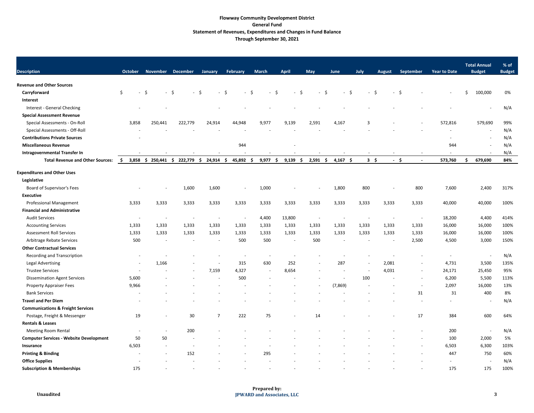### **Flowway Community Development District General Fund Statement of Revenues, Expenditures and Changes in Fund Balance Through September 30, 2021**

| <b>Description</b>                             | <b>October</b>           | <b>November</b>          | <b>December</b> | January                  | February    | <b>March</b> | <b>April</b>             | <b>May</b>            | June       | July                           | <b>August</b>            | September                | <b>Year to Date</b>      | <b>Total Annual</b><br><b>Budget</b> | % of<br><b>Budget</b> |
|------------------------------------------------|--------------------------|--------------------------|-----------------|--------------------------|-------------|--------------|--------------------------|-----------------------|------------|--------------------------------|--------------------------|--------------------------|--------------------------|--------------------------------------|-----------------------|
| <b>Revenue and Other Sources</b>               |                          |                          |                 |                          |             |              |                          |                       |            |                                |                          |                          |                          |                                      |                       |
| Carryforward                                   | \$<br>$-5$               | - \$                     | - \$            | $\sim$                   | -\$<br>$-5$ | $-5$         | \$<br>$\sim$             | -\$<br>$\overline{a}$ | $-$ \$     | .S<br>$\overline{\phantom{a}}$ | $\sim$                   | -Ś                       |                          | Ś.<br>100,000                        | 0%                    |
| <b>Interest</b>                                |                          |                          |                 |                          |             |              |                          |                       |            |                                |                          |                          |                          |                                      |                       |
| Interest - General Checking                    |                          |                          |                 |                          |             |              |                          |                       |            |                                |                          |                          |                          | $\overline{\phantom{0}}$             | N/A                   |
| <b>Special Assessment Revenue</b>              |                          |                          |                 |                          |             |              |                          |                       |            |                                |                          |                          |                          |                                      |                       |
| Special Assessments - On-Roll                  | 3,858                    | 250,441                  | 222,779         | 24,914                   | 44,948      | 9,977        | 9,139                    | 2,591                 | 4,167      | 3                              |                          | $\overline{\phantom{a}}$ | 572,816                  | 579,690                              | 99%                   |
| Special Assessments - Off-Roll                 |                          |                          |                 |                          |             |              |                          |                       |            |                                |                          |                          |                          | $\overline{\phantom{0}}$             | N/A                   |
| <b>Contributions Private Sources</b>           |                          |                          |                 |                          |             |              |                          |                       |            |                                |                          |                          |                          | $\overline{\phantom{a}}$             | N/A                   |
| <b>Miscellaneous Revenue</b>                   |                          |                          |                 |                          | 944         |              | $\overline{\phantom{a}}$ |                       |            |                                |                          |                          | 944                      | $\overline{\phantom{a}}$             | N/A                   |
| <b>Intragovernmental Transfer In</b>           |                          |                          |                 |                          |             |              |                          |                       |            |                                |                          |                          |                          | $\overline{\phantom{0}}$             | N/A                   |
| <b>Total Revenue and Other Sources:</b>        | $3,858$ \$<br>S.         | 250,441                  | 222,779<br>\$   | 24,914<br>-S             | 45,892 \$   | 9,977<br>-S  | 9,139<br>-S              | 2,591<br>-S           | $4,167$ \$ | $3 \quad$                      | $-5$                     | $\overline{\phantom{a}}$ | 573,760                  | 679,690                              | 84%                   |
| <b>Expenditures and Other Uses</b>             |                          |                          |                 |                          |             |              |                          |                       |            |                                |                          |                          |                          |                                      |                       |
| Legislative                                    |                          |                          |                 |                          |             |              |                          |                       |            |                                |                          |                          |                          |                                      |                       |
| Board of Supervisor's Fees                     |                          |                          | 1,600           | 1,600                    |             | 1,000        |                          |                       | 1,800      | 800                            |                          | 800                      | 7,600                    | 2,400                                | 317%                  |
| <b>Executive</b>                               |                          |                          |                 |                          |             |              |                          |                       |            |                                |                          |                          |                          |                                      |                       |
| <b>Professional Management</b>                 | 3,333                    | 3,333                    | 3,333           | 3,333                    | 3,333       | 3,333        | 3,333                    | 3,333                 | 3,333      | 3,333                          | 3,333                    | 3,333                    | 40,000                   | 40,000                               | 100%                  |
| <b>Financial and Administrative</b>            |                          |                          |                 |                          |             |              |                          |                       |            |                                |                          |                          |                          |                                      |                       |
| <b>Audit Services</b>                          |                          |                          |                 |                          |             | 4,400        | 13,800                   |                       |            |                                |                          |                          | 18,200                   | 4,400                                | 414%                  |
| <b>Accounting Services</b>                     | 1,333                    | 1,333                    | 1,333           | 1,333                    | 1,333       | 1,333        | 1,333                    | 1,333                 | 1,333      | 1,333                          | 1,333                    | 1,333                    | 16,000                   | 16,000                               | 100%                  |
| <b>Assessment Roll Services</b>                | 1,333                    | 1,333                    | 1,333           | 1,333                    | 1,333       | 1,333        | 1,333                    | 1,333                 | 1,333      | 1,333                          | 1,333                    | 1,333                    | 16,000                   | 16,000                               | 100%                  |
| Arbitrage Rebate Services                      | 500                      |                          |                 | $\overline{\phantom{a}}$ | 500         | 500          |                          | 500                   |            |                                | $\overline{\phantom{a}}$ | 2,500                    | 4,500                    | 3,000                                | 150%                  |
| <b>Other Contractual Services</b>              |                          |                          |                 |                          |             |              |                          |                       |            |                                |                          |                          |                          |                                      |                       |
| Recording and Transcription                    |                          |                          |                 |                          |             |              |                          |                       |            |                                |                          |                          |                          |                                      | N/A                   |
| <b>Legal Advertising</b>                       |                          | 1,166                    |                 | $\overline{\phantom{a}}$ | 315         | 630          | 252                      |                       | 287        | $\overline{\phantom{a}}$       | 2,081                    | $\overline{\phantom{a}}$ | 4,731                    | 3,500                                | 135%                  |
| <b>Trustee Services</b>                        |                          |                          |                 | 7,159                    | 4,327       |              | 8,654                    |                       |            |                                | 4,031                    |                          | 24,171                   | 25,450                               | 95%                   |
| <b>Dissemination Agent Services</b>            | 5,600                    |                          |                 |                          | 500         |              |                          |                       |            | 100                            |                          |                          | 6,200                    | 5,500                                | 113%                  |
| <b>Property Appraiser Fees</b>                 | 9,966                    |                          |                 |                          |             |              |                          |                       | (7,869)    |                                |                          |                          | 2,097                    | 16,000                               | 13%                   |
| <b>Bank Services</b>                           |                          |                          |                 |                          |             |              |                          |                       |            |                                |                          | 31                       | 31                       | 400                                  | 8%                    |
| <b>Travel and Per Diem</b>                     |                          |                          |                 |                          |             |              |                          |                       |            |                                |                          |                          | $\overline{\phantom{a}}$ | $\overline{\phantom{a}}$             | N/A                   |
| <b>Communications &amp; Freight Services</b>   |                          |                          |                 |                          |             |              |                          |                       |            |                                |                          |                          |                          |                                      |                       |
| Postage, Freight & Messenger                   | 19                       | $\overline{\phantom{a}}$ | 30 <sup>°</sup> | $\overline{7}$           | 222         | 75           | $\overline{\phantom{a}}$ | 14                    |            |                                |                          | 17                       | 384                      | 600                                  | 64%                   |
| <b>Rentals &amp; Leases</b>                    |                          |                          |                 |                          |             |              |                          |                       |            |                                |                          |                          |                          |                                      |                       |
| <b>Meeting Room Rental</b>                     | $\overline{\phantom{a}}$ | $\overline{\phantom{a}}$ | 200             |                          |             |              |                          |                       |            |                                |                          |                          | 200                      |                                      | N/A                   |
| <b>Computer Services - Website Development</b> | 50                       | 50                       |                 |                          |             |              |                          |                       |            |                                |                          |                          | 100                      | 2,000                                | 5%                    |
| Insurance                                      | 6,503                    |                          |                 |                          |             |              |                          |                       |            |                                |                          |                          | 6,503                    | 6,300                                | 103%                  |
| <b>Printing &amp; Binding</b>                  | $\overline{\phantom{a}}$ | $\sim$                   | 152             |                          |             | 295          |                          |                       |            |                                |                          |                          | 447                      | 750                                  | 60%                   |
| <b>Office Supplies</b>                         | $\overline{\phantom{a}}$ |                          |                 |                          |             |              |                          |                       |            |                                |                          |                          | $\overline{\phantom{a}}$ | $\overline{\phantom{a}}$             | N/A                   |
| <b>Subscription &amp; Memberships</b>          | 175                      |                          |                 |                          |             |              |                          |                       |            |                                |                          |                          | 175                      | 175                                  | 100%                  |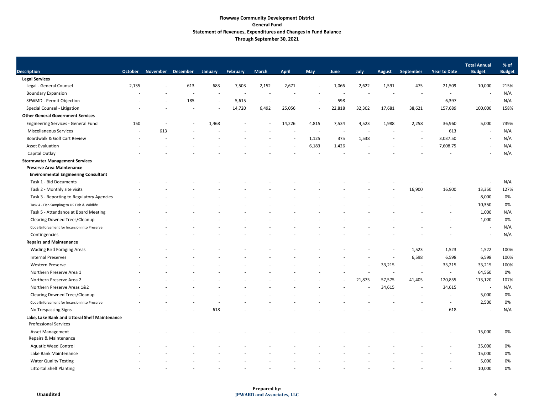### **Flowway Community Development District General Fund Statement of Revenues, Expenditures and Changes in Fund Balance Through September 30, 2021**

| <b>Description</b>                             | <b>October</b>           | <b>November</b> | <b>December</b>          | January                  | February                 | <b>March</b>             | <b>April</b> | May                      | June                     | July   | <b>August</b>            | September                | <b>Year to Date</b>      | <b>Total Annual</b><br><b>Budget</b> | % of<br><b>Budget</b> |
|------------------------------------------------|--------------------------|-----------------|--------------------------|--------------------------|--------------------------|--------------------------|--------------|--------------------------|--------------------------|--------|--------------------------|--------------------------|--------------------------|--------------------------------------|-----------------------|
| <b>Legal Services</b>                          |                          |                 |                          |                          |                          |                          |              |                          |                          |        |                          |                          |                          |                                      |                       |
| Legal - General Counsel                        | 2,135                    |                 | 613                      | 683                      | 7,503                    | 2,152                    | 2,671        |                          | 1,066                    | 2,622  | 1,591                    | 475                      | 21,509                   | 10,000                               | 215%                  |
| <b>Boundary Expansion</b>                      |                          |                 |                          | $\overline{\phantom{a}}$ |                          |                          |              |                          |                          |        |                          |                          | $\overline{\phantom{a}}$ |                                      | N/A                   |
| SFWMD - Permit Objection                       |                          |                 | 185                      | $\sim$                   | 5,615                    | $\overline{\phantom{a}}$ |              |                          | 598                      |        | $\overline{\phantom{a}}$ |                          | 6,397                    |                                      | N/A                   |
| Special Counsel - Litigation                   |                          |                 |                          | $\overline{\phantom{a}}$ | 14,720                   | 6,492                    | 25,056       | $\overline{\phantom{a}}$ | 22,818                   | 32,302 | 17,681                   | 38,621                   | 157,689                  | 100,000                              | 158%                  |
| <b>Other General Government Services</b>       |                          |                 |                          |                          |                          |                          |              |                          |                          |        |                          |                          |                          |                                      |                       |
| <b>Engineering Services - General Fund</b>     | 150                      |                 | $\overline{\phantom{a}}$ | 1,468                    | $\overline{\phantom{a}}$ |                          | 14,226       | 4,815                    | 7,534                    | 4,523  | 1,988                    | 2,258                    | 36,960                   | 5,000                                | 739%                  |
| <b>Miscellaneous Services</b>                  | $\overline{\phantom{a}}$ | 613             |                          |                          |                          |                          |              |                          | $\overline{\phantom{a}}$ |        | $\overline{\phantom{a}}$ | $\overline{\phantom{a}}$ | 613                      | $\overline{\phantom{a}}$             | N/A                   |
| Boardwalk & Golf Cart Review                   |                          |                 |                          |                          |                          |                          |              | 1,125                    | 375                      | 1,538  |                          | $\overline{\phantom{a}}$ | 3,037.50                 | $\overline{\phantom{a}}$             | N/A                   |
| <b>Asset Evaluation</b>                        |                          |                 |                          |                          |                          |                          |              | 6,183                    | 1,426                    |        |                          | $\overline{\phantom{a}}$ | 7,608.75                 | $\overline{\phantom{a}}$             | N/A                   |
| Capital Outlay                                 |                          |                 |                          |                          |                          |                          |              |                          |                          |        |                          |                          |                          |                                      | N/A                   |
| <b>Stormwater Management Services</b>          |                          |                 |                          |                          |                          |                          |              |                          |                          |        |                          |                          |                          |                                      |                       |
| <b>Preserve Area Maintenance</b>               |                          |                 |                          |                          |                          |                          |              |                          |                          |        |                          |                          |                          |                                      |                       |
| <b>Environmental Engineering Consultant</b>    |                          |                 |                          |                          |                          |                          |              |                          |                          |        |                          |                          |                          |                                      |                       |
| Task 1 - Bid Documents                         |                          |                 |                          |                          |                          |                          |              |                          |                          |        |                          |                          |                          |                                      | N/A                   |
| Task 2 - Monthly site visits                   |                          |                 |                          |                          |                          |                          |              |                          |                          |        |                          | 16,900                   | 16,900                   | 13,350                               | 127%                  |
| Task 3 - Reporting to Regulatory Agencies      |                          |                 |                          |                          |                          |                          |              |                          |                          |        |                          |                          |                          | 8,000                                | 0%                    |
| Task 4 - Fish Sampling to US Fish & Wildlife   |                          |                 |                          |                          |                          |                          |              |                          |                          |        |                          |                          |                          | 10,350                               | 0%                    |
| Task 5 - Attendance at Board Meeting           |                          |                 |                          |                          |                          |                          |              |                          |                          |        |                          |                          |                          | 1,000                                | N/A                   |
| <b>Clearing Downed Trees/Cleanup</b>           |                          |                 |                          |                          |                          |                          |              |                          |                          |        |                          |                          |                          | 1,000                                | 0%                    |
| Code Enforcement for Incursion into Preserve   |                          |                 |                          |                          |                          |                          |              |                          |                          |        |                          |                          |                          | $\overline{\phantom{a}}$             | N/A                   |
| Contingencies                                  |                          |                 |                          |                          |                          |                          |              |                          |                          |        |                          |                          |                          |                                      | N/A                   |
| <b>Repairs and Maintenance</b>                 |                          |                 |                          |                          |                          |                          |              |                          |                          |        |                          |                          |                          |                                      |                       |
| <b>Wading Bird Foraging Areas</b>              |                          |                 |                          |                          |                          |                          |              |                          |                          |        |                          | 1,523                    | 1,523                    | 1,522                                | 100%                  |
| <b>Internal Preserves</b>                      |                          |                 |                          |                          |                          |                          |              |                          |                          |        |                          | 6,598                    | 6,598                    | 6,598                                | 100%                  |
| Western Preserve                               |                          |                 |                          |                          |                          |                          |              |                          |                          |        | 33,215                   |                          | 33,215                   | 33,215                               | 100%                  |
| Northern Preserve Area 1                       |                          |                 |                          |                          |                          |                          |              |                          |                          |        |                          | $\overline{\phantom{0}}$ |                          | 64,560                               | 0%                    |
| Northern Preserve Area 2                       |                          |                 |                          |                          |                          |                          |              |                          |                          | 21,875 | 57,575                   | 41,405                   | 120,855                  | 113,120                              | 107%                  |
| Northern Preserve Areas 1&2                    |                          |                 |                          |                          |                          |                          |              |                          |                          |        | 34,615                   | $\sim$                   | 34,615                   |                                      | N/A                   |
| <b>Clearing Downed Trees/Cleanup</b>           |                          |                 |                          |                          |                          |                          |              |                          |                          |        |                          |                          | $\overline{\phantom{a}}$ | 5,000                                | 0%                    |
| Code Enforcement for Incursion into Preserve   |                          |                 |                          |                          |                          |                          |              |                          |                          |        |                          |                          | $\overline{\phantom{a}}$ | 2,500                                | 0%                    |
| No Trespassing Signs                           |                          |                 |                          | 618                      |                          |                          |              |                          |                          |        |                          |                          | 618                      |                                      | N/A                   |
| Lake, Lake Bank and Littoral Shelf Maintenance |                          |                 |                          |                          |                          |                          |              |                          |                          |        |                          |                          |                          |                                      |                       |
| <b>Professional Services</b>                   |                          |                 |                          |                          |                          |                          |              |                          |                          |        |                          |                          |                          |                                      |                       |
| Asset Management                               |                          |                 |                          |                          |                          |                          |              |                          |                          |        |                          |                          |                          | 15,000                               | 0%                    |
| Repairs & Maintenance                          |                          |                 |                          |                          |                          |                          |              |                          |                          |        |                          |                          |                          |                                      |                       |
| <b>Aquatic Weed Control</b>                    |                          |                 |                          |                          |                          |                          |              |                          |                          |        |                          |                          |                          | 35,000                               | 0%                    |
| Lake Bank Maintenance                          |                          |                 |                          |                          |                          |                          |              |                          |                          |        |                          |                          |                          | 15,000                               | 0%                    |
| <b>Water Quality Testing</b>                   |                          |                 |                          |                          |                          |                          |              |                          |                          |        |                          |                          |                          | 5,000                                | 0%                    |
| <b>Littortal Shelf Planting</b>                |                          |                 |                          |                          |                          |                          |              |                          |                          |        |                          |                          |                          | 10,000                               | 0%                    |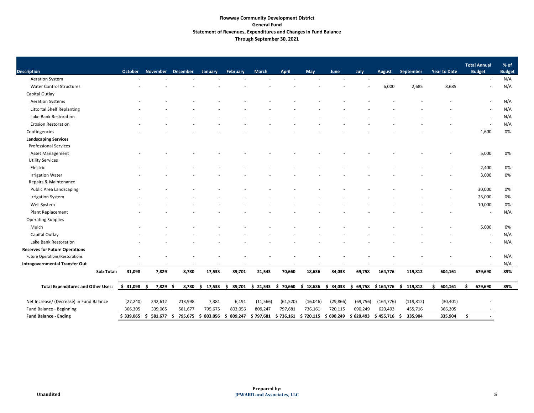# **Flowway Community Development District General Fund Statement of Revenues, Expenditures and Changes in Fund Balance Through September 30, 2021**

| <b>Description</b>                                          | <b>October</b> | November December |         |                    | February       | <b>March</b> | <b>April</b> | May      |                       | July       |            | September                                                                         | <b>Year to Date</b> | <b>Total Annual</b><br><b>Budget</b> | % of                 |
|-------------------------------------------------------------|----------------|-------------------|---------|--------------------|----------------|--------------|--------------|----------|-----------------------|------------|------------|-----------------------------------------------------------------------------------|---------------------|--------------------------------------|----------------------|
| <b>Aeration System</b>                                      |                |                   |         | January            |                |              |              |          | June                  |            | August     |                                                                                   |                     |                                      | <b>Budget</b><br>N/A |
| <b>Water Control Structures</b>                             |                |                   |         |                    |                |              |              |          |                       |            | 6,000      | 2,685                                                                             | 8,685               |                                      | N/A                  |
| Capital Outlay                                              |                |                   |         |                    |                |              |              |          |                       |            |            |                                                                                   |                     |                                      |                      |
| <b>Aeration Systems</b>                                     |                |                   |         |                    |                |              |              |          |                       |            |            |                                                                                   |                     |                                      | N/A                  |
| <b>Littortal Shelf Replanting</b>                           |                |                   |         |                    |                |              |              |          |                       |            |            |                                                                                   |                     |                                      |                      |
|                                                             |                |                   |         |                    |                |              |              |          |                       |            |            |                                                                                   |                     | $\overline{\phantom{a}}$             | N/A                  |
| Lake Bank Restoration                                       |                |                   |         |                    |                |              |              |          |                       |            |            |                                                                                   |                     |                                      | N/A                  |
| <b>Erosion Restoration</b>                                  |                |                   |         |                    |                |              |              |          |                       |            |            |                                                                                   |                     |                                      | N/A                  |
| Contingencies                                               |                |                   |         |                    |                |              |              |          |                       |            |            |                                                                                   |                     | 1,600                                | 0%                   |
| <b>Landscaping Services</b><br><b>Professional Services</b> |                |                   |         |                    |                |              |              |          |                       |            |            |                                                                                   |                     |                                      |                      |
| Asset Management<br><b>Utility Services</b>                 |                |                   |         |                    |                |              |              |          |                       |            |            |                                                                                   |                     | 5,000                                | 0%                   |
| Electric                                                    |                |                   |         |                    |                |              |              |          |                       |            |            |                                                                                   |                     | 2,400                                | 0%                   |
| <b>Irrigation Water</b><br>Repairs & Maintenance            |                |                   |         |                    |                |              |              |          |                       |            |            |                                                                                   |                     | 3,000                                | 0%                   |
| Public Area Landscaping                                     |                |                   |         |                    |                |              |              |          |                       |            |            |                                                                                   |                     | 30,000                               | 0%                   |
| <b>Irrigation System</b>                                    |                |                   |         |                    |                |              |              |          |                       |            |            |                                                                                   |                     | 25,000                               | 0%                   |
| Well System                                                 |                |                   |         |                    |                |              |              |          |                       |            |            |                                                                                   |                     | 10,000                               | 0%                   |
| Plant Replacement                                           |                |                   |         |                    |                |              |              |          |                       |            |            |                                                                                   |                     | $\overline{\phantom{a}}$             | N/A                  |
| <b>Operating Supplies</b>                                   |                |                   |         |                    |                |              |              |          |                       |            |            |                                                                                   |                     |                                      |                      |
| Mulch                                                       |                |                   |         |                    |                |              |              |          |                       |            |            |                                                                                   |                     | 5,000                                | 0%                   |
| Capital Outlay                                              |                |                   |         |                    |                |              |              |          |                       |            |            |                                                                                   |                     | $\overline{\phantom{a}}$             | N/A                  |
| Lake Bank Restoration                                       |                |                   |         |                    |                |              |              |          |                       |            |            |                                                                                   |                     |                                      | N/A                  |
| <b>Reserves for Future Operations</b>                       |                |                   |         |                    |                |              |              |          |                       |            |            |                                                                                   |                     |                                      |                      |
| <b>Future Operations/Restorations</b>                       |                |                   |         |                    |                |              |              |          |                       |            |            |                                                                                   |                     |                                      | N/A                  |
| <b>Intragovernmental Transfer Out</b>                       |                |                   |         |                    |                |              |              |          |                       |            |            |                                                                                   |                     |                                      | N/A                  |
| Sub-Total:                                                  | 31,098         | 7,829             | 8,780   | 17,533             | 39,701         | 21,543       | 70,660       | 18,636   | 34,033                | 69,758     | 164,776    | 119,812                                                                           | 604,161             | 679,690                              | 89%                  |
|                                                             |                |                   |         |                    |                |              |              |          |                       |            |            |                                                                                   |                     |                                      |                      |
| <b>Total Expenditures and Other Uses:</b>                   | $$31,098$ \$   | 7,829 \$          |         | 8,780 \$ 17,533    |                |              |              |          |                       |            |            | $$39,701$ $$21,543$ $$70,660$ $$18,636$ $$34,033$ $$69,758$ $$164,776$ $$119,812$ | 604,161<br>S        | 679,690                              | 89%                  |
| Net Increase/ (Decrease) in Fund Balance                    | (27, 240)      | 242,612           | 213,998 | 7,381              | 6,191          | (11, 566)    | (61, 520)    | (16,046) | (29, 866)             | (69, 756)  | (164, 776) | (119, 812)                                                                        | (30, 401)           |                                      |                      |
| Fund Balance - Beginning                                    | 366,305        | 339,065           | 581,677 | 795,675            | 803,056        | 809,247      | 797,681      | 736,161  | 720,115               | 690,249    | 620,493    | 455,716                                                                           | 366,305             |                                      |                      |
| <b>Fund Balance - Ending</b>                                | \$339,065      | 581,677<br>-Ş     | -Ş      | 795,675 \$ 803,056 | 809,247<br>-\$ | \$797,681    | \$736,161    |          | $$720,115$ $$690,249$ | \$ 620,493 | \$455,716  | 335,904<br>-S                                                                     | 335,904             | S                                    |                      |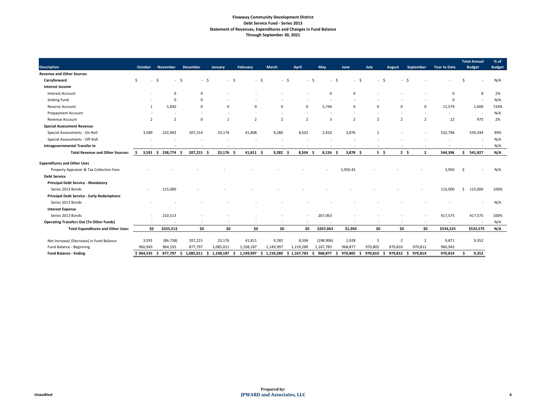# **Flowway Community Development District Debt Service Fund - Series 2013 Statement of Revenues, Expenditures and Changes in Fund Balance Through September 30, 2021**

|                                                   |                |                  |                        |                          |                 |                |                |                |                      |                                |                |                |                     | <b>Total Annual</b> | % of          |
|---------------------------------------------------|----------------|------------------|------------------------|--------------------------|-----------------|----------------|----------------|----------------|----------------------|--------------------------------|----------------|----------------|---------------------|---------------------|---------------|
| <b>Description</b>                                | <b>October</b> | <b>November</b>  | <b>December</b>        | January                  | <b>February</b> | <b>March</b>   | <b>April</b>   | <b>May</b>     | June                 | July                           | <b>August</b>  | September      | <b>Year to Date</b> | <b>Budget</b>       | <b>Budget</b> |
| <b>Revenue and Other Sources</b>                  |                |                  |                        |                          |                 |                |                |                |                      |                                |                |                |                     |                     |               |
| Carryforward                                      | \$.            | -S<br>$\sim$     | - \$<br>$-$ \$         | - \$<br>$\sim$           | - \$            | $-5$           | - \$           |                | -Ś<br>$\blacksquare$ | -Ś<br>$\overline{\phantom{a}}$ | $\sim$         | -Ś             |                     |                     | N/A           |
| <b>Interest Income</b>                            |                |                  |                        |                          |                 |                |                |                |                      |                                |                |                |                     |                     |               |
| Interest Account                                  |                | $\Omega$         | 0                      |                          |                 |                |                | $\mathbf 0$    | $\mathbf{0}$         |                                |                |                | $\overline{0}$      | 8                   | 2%            |
| Sinking Fund                                      |                | $\Omega$         |                        |                          |                 |                |                |                |                      |                                |                |                | $\Omega$            |                     | N/A           |
| Reserve Account                                   | 1              | 5,830            | 0                      | $\Omega$                 | $\Omega$        | $\Omega$       | $\mathbf 0$    | 5,744          | $\mathbf 0$          | $\Omega$                       | $\Omega$       | $\Omega$       | 11,579              | 1,600               | 724%          |
| <b>Prepayment Account</b>                         |                |                  |                        |                          |                 |                |                |                |                      |                                |                |                |                     |                     | N/A           |
| Revenue Account                                   | 2              | $\overline{2}$   | $\Omega$               | $\overline{1}$           | $\overline{2}$  | $\overline{2}$ | $\overline{2}$ | $\overline{3}$ | $\overline{2}$       | $\overline{2}$                 | $\overline{2}$ | $\overline{2}$ | 22                  | 975                 | 2%            |
| <b>Special Assessment Revenue</b>                 |                |                  |                        |                          |                 |                |                |                |                      |                                |                |                |                     |                     |               |
| Special Assessments - On-Roll                     | 3,589          | 232,943          | 207,214                | 23,174                   | 41,808          | 9,280          | 8,501          | 2,410          | 3,876                | $\overline{2}$                 |                |                | 532,796             | 539,344             | 99%           |
| Special Assessments - Off-Roll                    |                |                  |                        |                          |                 |                |                |                |                      |                                |                |                |                     |                     | N/A           |
| <b>Intragovernmental Transfer In</b>              |                |                  |                        |                          |                 |                |                |                |                      |                                |                |                |                     |                     | N/A           |
| <b>Total Revenue and Other Sources:</b>           | S.             | 3,591 \$ 238,774 | 207,215<br>- S<br>- \$ | $23,176$ \$              | $41,811$ \$     | $9,282$ \$     | 8,504          | $8,156$ \$     | $3,878$ \$           | $5\frac{1}{2}$                 | $2 \div$       | $\overline{2}$ | 544,396             | \$541,927           | N/A           |
| <b>Expenditures and Other Uses</b>                |                |                  |                        |                          |                 |                |                |                |                      |                                |                |                |                     |                     |               |
| Property Appraiser & Tax Collection Fees          |                |                  |                        |                          |                 |                |                |                | 1,950.42             |                                |                |                | 1,950               | -\$                 | N/A           |
| <b>Debt Service</b>                               |                |                  |                        |                          |                 |                |                |                |                      |                                |                |                |                     |                     |               |
| <b>Principal Debt Service - Mandatory</b>         |                |                  |                        |                          |                 |                |                |                |                      |                                |                |                |                     |                     |               |
| Series 2013 Bonds                                 |                | 115,000          |                        |                          |                 |                |                |                |                      |                                |                |                | 115,000             | 115,000<br>Ś.       | 100%          |
| <b>Principal Debt Service - Early Redemptions</b> |                |                  |                        |                          |                 |                |                |                |                      |                                |                |                |                     |                     |               |
| Series 2013 Bonds                                 |                |                  |                        |                          |                 |                |                |                |                      |                                |                |                |                     |                     | N/A           |
| <b>Interest Expense</b>                           |                |                  |                        |                          |                 |                |                |                |                      |                                |                |                |                     |                     |               |
| Series 2013 Bonds                                 |                | 210,513          |                        |                          |                 |                |                | 207,063        |                      |                                |                |                | 417,575             | 417,575             | 100%          |
| <b>Operating Transfers Out (To Other Funds)</b>   |                |                  |                        | $\overline{\phantom{a}}$ |                 |                |                |                |                      | $\overline{\phantom{a}}$       |                |                |                     |                     | N/A           |
| <b>Total Expenditures and Other Uses:</b>         | \$0            | \$325,513        | \$0                    | \$0                      | \$0             | \$0            | \$0            | \$207,063      | \$1,950              | \$0                            | \$0            | \$0            | \$534,525           | \$532,575           | N/A           |
| Net Increase/ (Decrease) in Fund Balance          | 3,591          | (86, 738)        | 207,215                | 23,176                   | 41,811          | 9,282          | 8,504          | (198, 906)     | 1,928                | 5                              | $\overline{2}$ | $\overline{2}$ | 9,871               | 9,352               |               |
| Fund Balance - Beginning                          | 960,943        | 964,535          | 877,797                | 1,085,011                | 1,108,187       | 1,149,997      | 1,159,280      | 1,167,783      | 968,877              | 970,805                        | 970,810        | 970,812        | 960,943             |                     |               |
| <b>Fund Balance - Ending</b>                      | \$964,535      | 877,797<br>- S   | 1,085,011<br>. S<br>-S | 1,108,187                | 1,149,997       | 1,159,280      | \$1,167,783    | 968,877<br>S.  | 970,805              | 970,810                        | 970,812        | 970,814<br>-Ś  | 970,814             | 9,352               |               |
|                                                   |                |                  |                        |                          |                 |                |                |                |                      |                                |                |                |                     |                     |               |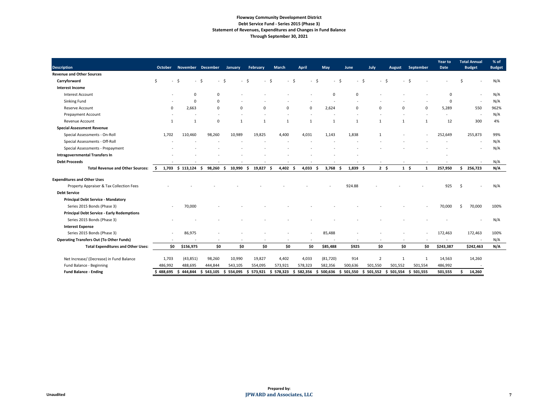# **Flowway Community Development District Debt Service Fund - Series 2015 (Phase 3) Statement of Revenues, Expenditures and Changes in Fund Balance Through September 30, 2021**

| <b>Description</b>                                | <b>October</b> | November December     |                | <b>January</b>                   | February     | <b>March</b>     | <b>April</b>   | May           | June       | July           | <b>August</b> | September      | <b>Year to</b><br><b>Date</b> | <b>Total Annual</b><br><b>Budget</b> | % of<br><b>Budget</b> |
|---------------------------------------------------|----------------|-----------------------|----------------|----------------------------------|--------------|------------------|----------------|---------------|------------|----------------|---------------|----------------|-------------------------------|--------------------------------------|-----------------------|
| <b>Revenue and Other Sources</b>                  |                |                       |                |                                  |              |                  |                |               |            |                |               |                |                               |                                      |                       |
| Carryforward                                      | \$             | $-$ \$<br>-Ś          |                | - \$<br>$\overline{\phantom{0}}$ | -S           | - Ś              | -S             | - \$          | $\zeta$    |                |               |                |                               |                                      | N/A                   |
| <b>Interest Income</b>                            |                |                       |                |                                  |              |                  |                |               |            |                |               |                |                               |                                      |                       |
| <b>Interest Account</b>                           |                | $\Omega$              | 0              |                                  |              |                  |                | $\Omega$      | $\Omega$   |                |               |                | -0                            |                                      | N/A                   |
| Sinking Fund                                      |                | $\Omega$              | $\Omega$       |                                  |              |                  |                |               |            |                |               |                | $\Omega$                      | $\overline{\phantom{a}}$             | N/A                   |
|                                                   | $\Omega$       | 2,663                 |                | $\Omega$                         | $\Omega$     | $\Omega$         | $\Omega$       | 2,624         | $\Omega$   | $\Omega$       | $\Omega$      | $\Omega$       |                               |                                      |                       |
| Reserve Account                                   |                |                       | $\Omega$       |                                  |              |                  |                |               |            |                |               |                | 5,289                         | 550                                  | 962%                  |
| <b>Prepayment Account</b>                         |                |                       |                |                                  |              |                  |                |               |            |                |               |                |                               | $\overline{\phantom{a}}$             | N/A                   |
| Revenue Account                                   | $\mathbf{1}$   | $\mathbf{1}$          | $\Omega$       | $\mathbf{1}$                     | $\mathbf{1}$ | $\overline{1}$   | 1              | $\mathbf{1}$  | 1          | $\mathbf{1}$   | $\mathbf{1}$  | 1              | 12                            | 300                                  | 4%                    |
| <b>Special Assessment Revenue</b>                 |                |                       |                |                                  |              |                  |                |               |            |                |               |                |                               |                                      |                       |
| Special Assessments - On-Roll                     | 1,702          | 110,460               | 98,260         | 10,989                           | 19,825       | 4,400            | 4,031          | 1,143         | 1,838      |                |               |                | 252,649                       | 255,873                              | 99%                   |
| Special Assessments - Off-Roll                    |                |                       |                |                                  |              |                  |                |               |            |                |               |                |                               |                                      | N/A                   |
| Special Assessments - Prepayment                  |                |                       |                |                                  |              |                  |                |               |            |                |               |                |                               |                                      | N/A                   |
| <b>Intragovernmental Transfers In</b>             |                |                       |                |                                  |              |                  |                |               |            |                |               |                |                               |                                      |                       |
| <b>Debt Proceeds</b>                              |                |                       |                |                                  |              |                  |                |               |            |                |               |                |                               |                                      | N/A                   |
| <b>Total Revenue and Other Sources:</b>           | S.             | $1,703$ \$ 113,124 \$ | 98,260         | \$<br>10,990                     | 19,827<br>Ŝ. | $4,402$ \$<br>Ŝ. | $4,033$ \$     | $3,768$ \$    | $1,839$ \$ | $2 \div$       | $1 \quad$     | 1              | 257,950                       | \$256,723                            | N/A                   |
| <b>Expenditures and Other Uses</b>                |                |                       |                |                                  |              |                  |                |               |            |                |               |                |                               |                                      |                       |
| Property Appraiser & Tax Collection Fees          |                |                       |                |                                  |              |                  |                |               | 924.88     |                |               |                | 925                           | Ŝ.                                   | N/A                   |
| <b>Debt Service</b>                               |                |                       |                |                                  |              |                  |                |               |            |                |               |                |                               |                                      |                       |
| <b>Principal Debt Service - Mandatory</b>         |                |                       |                |                                  |              |                  |                |               |            |                |               |                |                               |                                      |                       |
| Series 2015 Bonds (Phase 3)                       |                | 70,000                |                |                                  |              |                  |                |               |            |                |               |                | 70,000                        | 70,000<br>-S                         | 100%                  |
| <b>Principal Debt Service - Early Redemptions</b> |                |                       |                |                                  |              |                  |                |               |            |                |               |                |                               |                                      |                       |
| Series 2015 Bonds (Phase 3)                       |                |                       |                |                                  |              |                  |                |               |            |                |               |                |                               |                                      | N/A                   |
| <b>Interest Expense</b>                           |                |                       |                |                                  |              |                  |                |               |            |                |               |                |                               |                                      |                       |
| Series 2015 Bonds (Phase 3)                       |                | 86,975                |                |                                  |              |                  |                | 85,488        |            |                |               |                | 172,463                       | 172,463                              | 100%                  |
| <b>Operating Transfers Out (To Other Funds)</b>   |                |                       |                |                                  |              |                  |                |               |            |                |               |                |                               |                                      | N/A                   |
| <b>Total Expenditures and Other Uses:</b>         | \$0            | \$156,975             | \$0            | \$0                              | \$0          | \$0              | \$0            | \$85,488      | \$925      | \$0            | \$0           | \$0            | \$243,387                     | \$242,463                            | N/A                   |
|                                                   |                |                       |                |                                  |              |                  |                |               |            |                |               |                |                               |                                      |                       |
| Net Increase/ (Decrease) in Fund Balance          | 1,703          | (43, 851)             | 98,260         | 10,990                           | 19,827       | 4,402            | 4,033          | (81, 720)     | 914        | $\overline{2}$ | $\mathbf 1$   | 1              | 14,563                        | 14,260                               |                       |
| Fund Balance - Beginning                          | 486,992        | 488,695               | 444,844        | 543,105                          | 554,095      | 573,921          | 578,323        | 582,356       | 500,636    | 501,550        | 501,552       | 501,554        | 486,992                       |                                      |                       |
| <b>Fund Balance - Ending</b>                      | 488,695        | 444,844<br>- S        | 543,105<br>\$. | \$554,095                        | \$573,921    | 578,323<br>\$    | 582,356<br>-\$ | 500,636<br>S. | \$501,550  | 501,552<br>S.  | 501,554<br>-S | 501,555<br>- S | 501,555                       | \$<br>14,260                         |                       |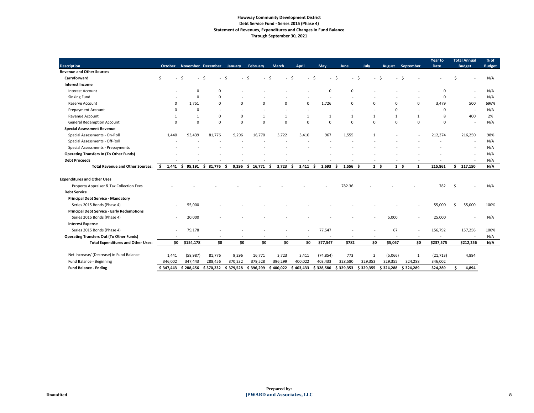# **Flowway Community Development District Debt Service Fund - Series 2015 (Phase 4) Statement of Revenues, Expenditures and Changes in Fund Balance Through September 30, 2021**

|                                                   |                |              |                   |                |                |                      |              |               |                  |                |               |              | <b>Year to</b> | <b>Total Annual</b>      | % of          |
|---------------------------------------------------|----------------|--------------|-------------------|----------------|----------------|----------------------|--------------|---------------|------------------|----------------|---------------|--------------|----------------|--------------------------|---------------|
| <b>Description</b>                                | <b>October</b> |              | November December | <b>January</b> | February       | <b>March</b>         | <b>April</b> | <b>May</b>    | June             | July           | <b>August</b> | September    | <b>Date</b>    | <b>Budget</b>            | <b>Budget</b> |
| <b>Revenue and Other Sources</b>                  |                |              |                   |                |                |                      |              |               |                  |                |               |              |                |                          |               |
| Carryforward                                      | .S             |              |                   |                |                |                      |              |               |                  |                |               |              |                |                          | N/A           |
| <b>Interest Income</b>                            |                |              |                   |                |                |                      |              |               |                  |                |               |              |                |                          |               |
| <b>Interest Account</b>                           |                | $\Omega$     | $\Omega$          |                |                |                      |              | $\Omega$      | $\mathbf{0}$     |                |               |              | $\Omega$       | $\overline{\phantom{a}}$ | N/A           |
| Sinking Fund                                      |                | $\Omega$     | $\Omega$          |                |                |                      |              |               |                  |                |               |              | $\Omega$       | $\overline{\phantom{a}}$ | N/A           |
| Reserve Account                                   | 0              | 1,751        | $\Omega$          | $\Omega$       | $\Omega$       | 0                    | $\Omega$     | 1,726         | $\mathbf 0$      | $\Omega$       | $\Omega$      | $\Omega$     | 3,479          | 500                      | 696%          |
| <b>Prepayment Account</b>                         | $\Omega$       | 0            |                   |                |                |                      |              |               |                  |                | $\Omega$      |              | 0              | $\overline{\phantom{a}}$ | N/A           |
| Revenue Account                                   | 1              | $\mathbf{1}$ | $\Omega$          | 0              | 1              | $\mathbf{1}$         | 1            | 1             | 1                | $\mathbf{1}$   | $\mathbf{1}$  |              | 8              | 400                      | 2%            |
| <b>General Redemption Account</b>                 | $\Omega$       | $\mathbf 0$  | $\Omega$          | $\Omega$       | $\overline{0}$ | $\mathsf{O}$         | $\Omega$     | $\Omega$      | $\mathbf 0$      | $\mathbf{0}$   | $\Omega$      | $\Omega$     | $\Omega$       | $\overline{\phantom{a}}$ | N/A           |
| <b>Special Assessment Revenue</b>                 |                |              |                   |                |                |                      |              |               |                  |                |               |              |                |                          |               |
| Special Assessments - On-Roll                     | 1,440          | 93,439       | 81,776            | 9,296          | 16,770         | 3,722                | 3,410        | 967           | 1,555            | $\overline{1}$ |               |              | 212,374        | 216,250                  | 98%           |
| Special Assessments - Off-Roll                    |                |              |                   |                |                |                      |              |               |                  |                |               |              |                | $\overline{\phantom{a}}$ | N/A           |
| <b>Special Assessments - Prepayments</b>          |                |              |                   |                |                |                      |              |               |                  |                |               |              |                | $\overline{\phantom{a}}$ | N/A           |
| <b>Operating Transfers In (To Other Funds)</b>    |                |              |                   |                |                |                      |              |               |                  |                |               |              |                | $\overline{\phantom{a}}$ | N/A           |
| <b>Debt Proceeds</b>                              |                |              |                   |                |                |                      |              |               |                  |                |               |              |                |                          | N/A           |
| <b>Total Revenue and Other Sources:</b>           | 1,441 \$<br>-S | 95,191       | \$<br>81,776      | 9,296<br>-S    | 16,771<br>S.   | 3,723<br>-S          | 3,411<br>S   | 2,693<br>- \$ | $1,556$ \$<br>-S | 2 <sup>5</sup> | $1 \quad$     | 1            | 215,861        | 217,150<br>S.            | N/A           |
| <b>Expenditures and Other Uses</b>                |                |              |                   |                |                |                      |              |               |                  |                |               |              |                |                          |               |
| Property Appraiser & Tax Collection Fees          |                |              |                   |                |                |                      |              |               | 782.36           |                |               |              | 782            | -Ś                       | N/A           |
| <b>Debt Service</b>                               |                |              |                   |                |                |                      |              |               |                  |                |               |              |                |                          |               |
| <b>Principal Debt Service - Mandatory</b>         |                |              |                   |                |                |                      |              |               |                  |                |               |              |                |                          |               |
| Series 2015 Bonds (Phase 4)                       |                | 55,000       |                   |                |                |                      |              |               |                  |                |               |              | 55,000         | 55,000<br>S.             | 100%          |
| <b>Principal Debt Service - Early Redemptions</b> |                |              |                   |                |                |                      |              |               |                  |                |               |              |                |                          |               |
| Series 2015 Bonds (Phase 4)                       |                | 20,000       |                   |                |                |                      |              |               |                  |                | 5,000         |              | 25,000         |                          | N/A           |
| <b>Interest Expense</b>                           |                |              |                   |                |                |                      |              |               |                  |                |               |              |                |                          |               |
| Series 2015 Bonds (Phase 4)                       |                | 79,178       |                   |                |                |                      |              | 77,547        |                  |                | 67            |              | 156,792        | 157,256                  | 100%          |
| <b>Operating Transfers Out (To Other Funds)</b>   |                |              |                   |                |                |                      |              |               |                  |                |               |              |                |                          | N/A           |
|                                                   | \$0            |              |                   | \$0            | \$0            | \$0                  |              |               | \$782            |                |               |              |                |                          |               |
| <b>Total Expenditures and Other Uses:</b>         |                | \$154,178    | \$0               |                |                |                      | \$0          | \$77,547      |                  | \$0            | \$5,067       | \$0          | \$237,575      | \$212,256                | N/A           |
| Net Increase/ (Decrease) in Fund Balance          | 1,441          | (58, 987)    | 81,776            | 9,296          | 16,771         | 3,723                | 3,411        | (74, 854)     | 773              | $\overline{2}$ | (5,066)       | $\mathbf{1}$ | (21, 713)      | 4,894                    |               |
| Fund Balance - Beginning                          | 346,002        | 347,443      | 288,456           | 370,232        | 379,528        | 396,299              | 400,022      | 403,433       | 328,580          | 329,353        | 329,355       | 324,288      | 346,002        |                          |               |
| <b>Fund Balance - Ending</b>                      | \$347,443      | \$288,456    | \$370,232         | \$379,528      | \$396,299      | $$400,022 \$403,433$ |              | \$328,580     | \$329,353        | \$329,355      | \$324,288     | \$324,289    | 324,289        | 4,894<br>Ś               |               |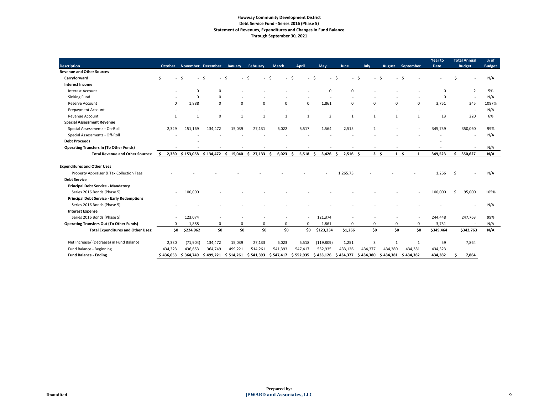# **Flowway Community Development District Debt Service Fund - Series 2016 (Phase 5) Statement of Revenues, Expenditures and Changes in Fund Balance Through September 30, 2021**

|                                                   |           |             |                                    |           |                |              |                |                |                  |                |               |                | <b>Year to</b> | <b>Total Annual</b>      | % of          |
|---------------------------------------------------|-----------|-------------|------------------------------------|-----------|----------------|--------------|----------------|----------------|------------------|----------------|---------------|----------------|----------------|--------------------------|---------------|
| <b>Description</b>                                | October   |             | November December                  | January   | February       | <b>March</b> | <b>April</b>   | <b>May</b>     | June             | July           | <b>August</b> | September      | <b>Date</b>    | <b>Budget</b>            | <b>Budget</b> |
| <b>Revenue and Other Sources</b>                  |           |             |                                    |           |                |              |                |                |                  |                |               |                |                |                          |               |
| Carryforward                                      |           |             | -Ś                                 |           |                |              |                |                |                  |                |               |                |                |                          | N/A           |
| <b>Interest Income</b>                            |           |             |                                    |           |                |              |                |                |                  |                |               |                |                |                          |               |
| Interest Account                                  |           | $\Omega$    | $\Omega$                           |           |                |              |                |                |                  |                |               |                |                | $\overline{2}$           | 5%            |
| <b>Sinking Fund</b>                               |           | 0           | $\Omega$                           |           |                |              |                |                |                  |                |               |                | $\Omega$       | $\overline{\phantom{a}}$ | N/A           |
| Reserve Account                                   | 0         | 1,888       | $\Omega$                           | $\Omega$  | $\Omega$       | $\mathbf 0$  | 0              | 1,861          | $\Omega$         | $\Omega$       | $\Omega$      | $\Omega$       | 3,751          | 345                      | 1087%         |
| <b>Prepayment Account</b>                         |           |             |                                    |           |                |              |                |                |                  |                |               |                |                | $\overline{\phantom{a}}$ | N/A           |
| Revenue Account                                   | -1        | $\mathbf 1$ | $\Omega$                           | -1        | $\overline{1}$ | $\mathbf{1}$ | $\overline{1}$ | $\overline{2}$ | $\mathbf{1}$     | $\mathbf 1$    | $\mathbf{1}$  |                | 13             | 220                      | 6%            |
| <b>Special Assessment Revenue</b>                 |           |             |                                    |           |                |              |                |                |                  |                |               |                |                |                          |               |
| Special Assessments - On-Roll                     | 2,329     | 151,169     | 134,472                            | 15,039    | 27,131         | 6,022        | 5,517          | 1,564          | 2,515            | $\overline{2}$ |               |                | 345,759        | 350,060                  | 99%           |
| Special Assessments - Off-Roll                    |           |             |                                    |           |                |              |                |                |                  |                |               |                |                | $\overline{\phantom{a}}$ | N/A           |
| <b>Debt Proceeds</b>                              |           |             |                                    |           |                |              |                |                |                  |                |               |                |                |                          |               |
| <b>Operating Transfers In (To Other Funds)</b>    |           |             |                                    |           |                |              |                |                |                  |                |               |                |                | $\sim$                   | N/A           |
| <b>Total Revenue and Other Sources:</b>           | S.        |             | 2,330 \$153,058 \$134,472 \$15,040 |           | \$27,133       | 6,023<br>-S  | 5,518<br>-S    | 3,426<br>-S    | $2,516$ \$<br>-S |                | $3 \quad$     | $1 \quad$<br>1 | 349,523        | 350,627<br>S.            | N/A           |
| <b>Expenditures and Other Uses</b>                |           |             |                                    |           |                |              |                |                |                  |                |               |                |                |                          |               |
| Property Appraiser & Tax Collection Fees          |           |             |                                    |           |                |              |                |                | 1,265.73         |                |               |                | 1,266          | <sub>S</sub>             | N/A           |
| <b>Debt Service</b>                               |           |             |                                    |           |                |              |                |                |                  |                |               |                |                |                          |               |
| <b>Principal Debt Service - Mandatory</b>         |           |             |                                    |           |                |              |                |                |                  |                |               |                |                |                          |               |
| Series 2016 Bonds (Phase 5)                       |           | 100,000     |                                    |           |                |              |                |                |                  |                |               |                | 100,000        | 95,000                   | 105%          |
|                                                   |           |             |                                    |           |                |              |                |                |                  |                |               |                |                |                          |               |
| <b>Principal Debt Service - Early Redemptions</b> |           |             |                                    |           |                |              |                |                |                  |                |               |                |                |                          | N/A           |
| Series 2016 Bonds (Phase 5)                       |           |             |                                    |           |                |              |                |                |                  |                |               |                |                |                          |               |
| <b>Interest Expense</b>                           |           |             |                                    |           |                |              |                |                |                  |                |               |                |                |                          |               |
| Series 2016 Bonds (Phase 5)                       |           | 123,074     |                                    |           |                |              |                | 121,374        |                  |                |               |                | 244,448        | 247,763                  | 99%           |
| <b>Operating Transfers Out (To Other Funds)</b>   | $\Omega$  | 1,888       | 0                                  | 0         | 0              | 0            | 0              | 1,861          | 0                | 0              | 0             | 0              | 3,751          |                          | N/A           |
| <b>Total Expenditures and Other Uses:</b>         | \$0       | \$224,962   | \$0                                | \$0       | \$0            | \$0          | \$0            | \$123,234      | \$1,266          | \$0            | \$0           | \$0            | \$349,464      | \$342,763                | N/A           |
| Net Increase/ (Decrease) in Fund Balance          | 2,330     | (71, 904)   | 134,472                            | 15,039    | 27,133         | 6,023        | 5,518          | (119, 809)     | 1,251            | $\overline{3}$ | 1             | 1              | 59             | 7,864                    |               |
| Fund Balance - Beginning                          | 434,323   | 436,653     | 364,749                            | 499,221   | 514,261        | 541,393      | 547,417        | 552,935        | 433,126          | 434,377        | 434,380       | 434,381        | 434,323        |                          |               |
| <b>Fund Balance - Ending</b>                      | \$436,653 | \$364,749   | \$499,221                          | \$514,261 | \$541,393      | \$547,417    | \$552,935      | \$433,126      | \$434,377        | \$434,380      | \$434,381     | \$434,382      | 434,382        | 7,864<br>Ŝ               |               |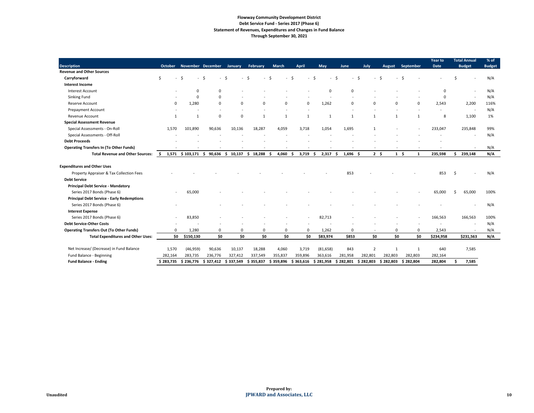# **Flowway Community Development District Debt Service Fund - Series 2017 (Phase 6) Statement of Revenues, Expenditures and Changes in Fund Balance Through September 30, 2021**

|                                                   |                |             |                          |              |             |              |              |             |                  |                          |                        |              | <b>Year to</b> | <b>Total Annual</b>      | % of          |
|---------------------------------------------------|----------------|-------------|--------------------------|--------------|-------------|--------------|--------------|-------------|------------------|--------------------------|------------------------|--------------|----------------|--------------------------|---------------|
| <b>Description</b>                                | <b>October</b> |             | <b>November December</b> | January      | February    | <b>March</b> | <b>April</b> | May         | June             | July                     | <b>August</b>          | September    | <b>Date</b>    | <b>Budget</b>            | <b>Budget</b> |
| <b>Revenue and Other Sources</b>                  |                |             |                          |              |             |              |              |             |                  |                          |                        |              |                |                          |               |
| Carryforward                                      | Ŝ.             |             | S,                       |              |             |              |              |             |                  | .S                       |                        |              |                |                          | N/A           |
| <b>Interest Income</b>                            |                |             |                          |              |             |              |              |             |                  |                          |                        |              |                |                          |               |
| Interest Account                                  |                | $\Omega$    | $\Omega$                 |              |             |              |              | 0           | $\Omega$         |                          |                        |              | $\Omega$       |                          | N/A           |
| <b>Sinking Fund</b>                               |                | $\mathbf 0$ | 0                        |              |             |              |              |             |                  |                          |                        |              | $\Omega$       | $\overline{\phantom{a}}$ | N/A           |
| Reserve Account                                   | 0              | 1,280       | $\Omega$                 | 0            | $\Omega$    | 0            | 0            | 1,262       | $\mathbf 0$      | $\Omega$                 | $\Omega$               | $\Omega$     | 2,543          | 2,200                    | 116%          |
| <b>Prepayment Account</b>                         |                |             |                          |              |             |              |              |             |                  |                          |                        |              |                | $\overline{\phantom{a}}$ | N/A           |
| Revenue Account                                   | $\mathbf 1$    | 1           | $\Omega$                 | $\Omega$     | $\mathbf 1$ | 1            | $\mathbf{1}$ | -1          | $\overline{1}$   |                          |                        |              | 8              | 1,100                    | 1%            |
| <b>Special Assessment Revenue</b>                 |                |             |                          |              |             |              |              |             |                  |                          |                        |              |                |                          |               |
| Special Assessments - On-Roll                     | 1,570          | 101,890     | 90,636                   | 10,136       | 18,287      | 4,059        | 3,718        | 1,054       | 1,695            |                          |                        |              | 233,047        | 235,848                  | 99%           |
| Special Assessments - Off-Roll                    |                |             |                          |              |             |              |              |             |                  |                          |                        |              |                |                          | N/A           |
| <b>Debt Proceeds</b>                              |                |             |                          |              |             |              |              |             |                  |                          |                        |              |                |                          |               |
| <b>Operating Transfers In (To Other Funds)</b>    |                |             |                          |              |             |              |              |             |                  |                          |                        |              |                |                          | N/A           |
| <b>Total Revenue and Other Sources:</b>           | S.             |             | 1,571 \$103,171 \$90,636 | 10,137<br>S. | \$18,288    | 4,060        | 3,719        | 2,317<br>-S | $1,696$ \$<br>S. |                          | $2 \quad$<br>$1 \quad$ | $\mathbf{1}$ | 235,598        | 239,148<br>Ŝ.            | N/A           |
| <b>Expenditures and Other Uses</b>                |                |             |                          |              |             |              |              |             |                  |                          |                        |              |                |                          |               |
| Property Appraiser & Tax Collection Fees          |                |             |                          |              |             |              |              |             | 853              |                          |                        |              | 853            | -S                       | N/A           |
| <b>Debt Service</b>                               |                |             |                          |              |             |              |              |             |                  |                          |                        |              |                |                          |               |
| <b>Principal Debt Service - Mandatory</b>         |                |             |                          |              |             |              |              |             |                  |                          |                        |              |                |                          |               |
| Series 2017 Bonds (Phase 6)                       |                | 65,000      |                          |              |             |              |              |             |                  |                          |                        |              | 65,000         | 65,000<br>-Ś             | 100%          |
| <b>Principal Debt Service - Early Redemptions</b> |                |             |                          |              |             |              |              |             |                  |                          |                        |              |                |                          |               |
| Series 2017 Bonds (Phase 6)                       |                |             |                          |              |             |              |              |             |                  |                          |                        |              |                |                          | N/A           |
| <b>Interest Expense</b>                           |                |             |                          |              |             |              |              |             |                  |                          |                        |              |                |                          |               |
| Series 2017 Bonds (Phase 6)                       |                | 83,850      |                          |              |             |              |              | 82,713      |                  |                          |                        |              | 166,563        | 166,563                  | 100%          |
| <b>Debt Service-Other Costs</b>                   |                |             |                          |              |             |              |              |             |                  |                          |                        |              |                | $\overline{\phantom{a}}$ | N/A           |
| <b>Operating Transfers Out (To Other Funds)</b>   | O              | 1,280       | 0                        | 0            | 0           | 0            | 0            | 1,262       | 0                | $\overline{\phantom{a}}$ | 0                      | 0            | 2,543          | $\overline{\phantom{a}}$ | N/A           |
| <b>Total Expenditures and Other Uses:</b>         | \$0            | \$150,130   | \$0                      | \$0          | \$0         | \$0          | \$0          | \$83,974    | \$853            | \$0                      | \$0                    | \$0          | \$234,958      | \$231,563                | N/A           |
| Net Increase/ (Decrease) in Fund Balance          | 1,570          | (46, 959)   | 90,636                   | 10,137       | 18,288      | 4,060        | 3,719        | (81, 658)   | 843              | $\overline{2}$           | -1                     | $\mathbf 1$  | 640            | 7,585                    |               |
| Fund Balance - Beginning                          | 282,164        | 283,735     | 236,776                  | 327,412      | 337,549     | 355,837      | 359,896      | 363,616     | 281,958          | 282,801                  | 282,803                | 282,803      | 282,164        |                          |               |
| <b>Fund Balance - Ending</b>                      | \$283,735      | \$236,776   | \$327,412                | \$337,549    | \$355,837   | \$359,896    | \$363,616    | \$281,958   | \$282,801        | \$282,803                | \$282,803              | \$282,804    | 282,804        | 7,585<br>\$              |               |
|                                                   |                |             |                          |              |             |              |              |             |                  |                          |                        |              |                |                          |               |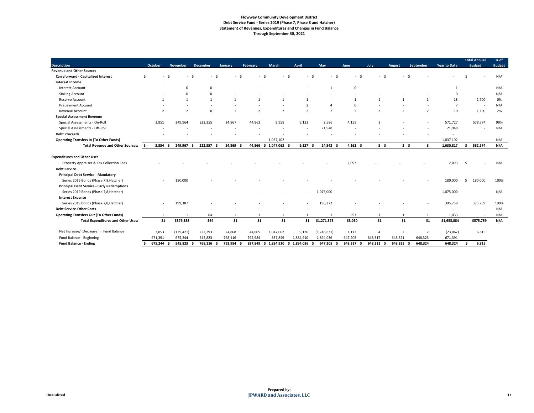#### **Flowway Community Development District Debt Service Fund - Series 2019 (Phase 7, Phase 8 and Hatcher) Statement of Revenues, Expenditures and Changes in Fund Balance Through September 30, 2021**

| <b>Description</b>                                | <b>October</b> | <b>November</b>          | <b>December</b>      | January       | February                 | <b>March</b>                   | <b>April</b>   | <b>May</b>    | <b>June</b>   | July           | <b>August</b>                    | <b>September</b>         | <b>Year to Date</b>      | <b>Total Annual</b><br><b>Budget</b> | % of<br><b>Budget</b> |
|---------------------------------------------------|----------------|--------------------------|----------------------|---------------|--------------------------|--------------------------------|----------------|---------------|---------------|----------------|----------------------------------|--------------------------|--------------------------|--------------------------------------|-----------------------|
| <b>Revenue and Other Sources</b>                  |                |                          |                      |               |                          |                                |                |               |               |                |                                  |                          |                          |                                      |                       |
| <b>Carryforward - Capitalized Interest</b>        | Ś              | $\overline{\phantom{a}}$ | - S                  | - Ś<br>$\sim$ | $\overline{\phantom{0}}$ | - \$<br>- \$<br>$\overline{a}$ | $\sim$         | - Ś<br>- \$   | - \$          | - \$           | - \$<br>$\overline{\phantom{a}}$ |                          |                          |                                      | N/A                   |
| <b>Interest Income</b>                            |                |                          |                      |               |                          |                                |                |               |               |                |                                  |                          |                          |                                      |                       |
| <b>Interest Account</b>                           |                | $\Omega$                 | $\Omega$             |               |                          |                                |                |               | $\Omega$      |                |                                  |                          |                          |                                      | N/A                   |
| <b>Sinking Account</b>                            |                | $\mathbf 0$              | $\Omega$             |               |                          |                                |                |               |               |                |                                  |                          | $\Omega$                 |                                      | N/A                   |
| Reserve Account                                   |                |                          | $\overline{1}$       | $\mathbf{1}$  |                          |                                |                |               | -1            | $\mathbf{1}$   |                                  |                          | 13                       | 2,700                                | 0%                    |
| <b>Prepayment Account</b>                         |                |                          |                      |               |                          |                                |                |               | $\Omega$      |                |                                  |                          | -7                       |                                      | N/A                   |
| Revenue Account                                   | $\overline{2}$ | $\overline{2}$           | $\mathbf 0$          | $\mathbf 1$   | $\overline{z}$           | $\mathcal{P}$                  | $\mathfrak{p}$ |               | $\mathcal{P}$ | $\overline{z}$ | $\overline{\phantom{a}}$         | $\overline{\phantom{a}}$ | 19                       | 1,100                                | 2%                    |
| <b>Special Assessment Revenue</b>                 |                |                          |                      |               |                          |                                |                |               |               |                |                                  |                          |                          |                                      |                       |
| Special Assessments - On-Roll                     | 3,851          | 249,964                  | 222,355              | 24,867        | 44,863                   | 9,958                          | 9,122          | 2,586         | 4,159         | -3             |                                  |                          | 571,727                  | 578,774                              | 99%                   |
| Special Assessments - Off-Roll                    |                |                          |                      |               |                          |                                |                | 21,948        |               |                |                                  |                          | 21,948                   |                                      | N/A                   |
| <b>Debt Proceeds</b>                              |                |                          |                      |               |                          |                                |                |               |               |                |                                  |                          | $\overline{\phantom{a}}$ |                                      |                       |
| <b>Operating Transfers In (To Other Funds)</b>    |                |                          |                      |               |                          | 1,037,102                      |                |               |               |                |                                  |                          | 1,037,102                |                                      | N/A                   |
| <b>Total Revenue and Other Sources:</b>           | 3,854<br>-S    | 249,967                  | 222,357<br>-S        | 24,869        | 44,866                   | $$1,047,063$ \$                | 9,127          | 24,542 \$     | $4,162$ \$    | 5 <sup>5</sup> | $3\sqrt{5}$                      | $\overline{\mathbf{3}}$  | 1,630,817                | 582,574                              | N/A                   |
| <b>Expenditures and Other Uses</b>                |                |                          |                      |               |                          |                                |                |               |               |                |                                  |                          |                          |                                      |                       |
| Property Appraiser & Tax Collection Fees          |                |                          |                      |               |                          |                                |                |               | 2,093         |                |                                  |                          | 2,093                    |                                      | N/A                   |
| <b>Debt Service</b>                               |                |                          |                      |               |                          |                                |                |               |               |                |                                  |                          |                          |                                      |                       |
| <b>Principal Debt Service - Mandatory</b>         |                |                          |                      |               |                          |                                |                |               |               |                |                                  |                          |                          |                                      |                       |
| Series 2019 Bonds (Phase 7,8, Hatcher)            |                | 180,000                  |                      |               |                          |                                |                |               |               |                |                                  |                          | 180,000                  | 180,000                              | 100%                  |
| <b>Principal Debt Service - Early Redemptions</b> |                |                          |                      |               |                          |                                |                |               |               |                |                                  |                          |                          |                                      |                       |
| Series 2019 Bonds (Phase 7,8, Hatcher)            |                |                          |                      |               |                          |                                |                | 1,075,000     |               |                |                                  |                          | 1,075,000                |                                      | N/A                   |
| <b>Interest Expense</b>                           |                |                          |                      |               |                          |                                |                |               |               |                |                                  |                          |                          |                                      |                       |
| Series 2019 Bonds (Phase 7,8, Hatcher)            |                | 199,387                  |                      |               |                          |                                |                | 196,372       |               |                |                                  |                          | 395,759                  | 395,759                              | 100%                  |
| <b>Debt Service-Other Costs</b>                   |                |                          |                      |               |                          |                                |                |               |               |                |                                  |                          |                          |                                      | N/A                   |
| <b>Operating Transfers Out (To Other Funds)</b>   |                |                          | 64                   |               |                          |                                |                |               | 957           |                |                                  |                          | 1,033                    |                                      | N/A                   |
| <b>Total Expenditures and Other Uses:</b>         | \$1            | \$379,388                | \$64                 | \$1           | \$1                      | \$1                            | \$1            | \$1,271,373   | \$3,050       | \$1            | \$1                              | \$1                      | \$1,653,884              | \$575,759                            | N/A                   |
| Net Increase/ (Decrease) in Fund Balance          | 3,853          | (129, 421)               | 222,293              | 24,868        | 44,865                   | 1,047,062                      | 9,126          | (1, 246, 831) | 1,112         | $\overline{4}$ | $\overline{2}$                   | 2                        | (23,067)                 | 6,815                                |                       |
| Fund Balance - Beginning                          | 671,391        | 675,244                  | 545,823              | 768,116       | 792,984                  | 837,849                        | 1,884,910      | 1,894,036     | 647,205       | 648,317        | 648,321                          | 648,323                  | 671,391                  |                                      |                       |
| <b>Fund Balance - Ending</b>                      | 675,244        | 545,823                  | 768,116<br>- S<br>÷. | 792,984       | 837,849                  | 1,884,910 \$ 1,894,036<br>-S   |                | 647,205<br>.s | 648,317<br>-S | 648,321        | 648,323                          | 648,324                  | 648,324                  | 6,815                                |                       |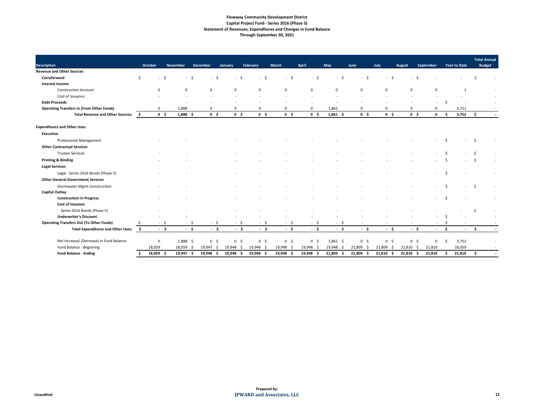# **Flowway Community Development District Capital Project Fund - Series 2016 (Phase 5) Statement of Revenues, Expenditures and Changes in Fund Balance Through September 30, 2021**

|                                                        | <b>October</b> | <b>November</b>              | <b>December</b>       |                | February       | <b>March</b>        | <b>April</b>               | May         |                | July           |                | September   |    | <b>Year to Date</b>      | <b>Total Annual</b><br><b>Budget</b> |  |
|--------------------------------------------------------|----------------|------------------------------|-----------------------|----------------|----------------|---------------------|----------------------------|-------------|----------------|----------------|----------------|-------------|----|--------------------------|--------------------------------------|--|
| <b>Description</b><br><b>Revenue and Other Sources</b> |                |                              |                       | January        |                |                     |                            |             | June           |                | <b>August</b>  |             |    |                          |                                      |  |
| Carryforward                                           | Ŝ.             | -\$                          |                       |                | - \$<br>$\sim$ | $\ddot{\varsigma}$  | - \$                       | - \$        | - \$           | $-$ \$         | - \$           |             |    |                          |                                      |  |
| <b>Interest Income</b>                                 |                |                              |                       |                |                |                     |                            |             |                |                |                |             |    |                          |                                      |  |
| <b>Construction Account</b>                            | $\Omega$       | $\mathbf 0$                  | $\Omega$              | $\mathbf 0$    | $\Omega$       | 0                   | $\Omega$                   | $\mathbf 0$ | $\mathbf 0$    | $\mathbf{0}$   | $\Omega$       | $\Omega$    |    |                          |                                      |  |
| Cost of Issuance                                       |                |                              |                       |                |                |                     |                            |             |                |                |                |             |    |                          |                                      |  |
| <b>Debt Proceeds</b>                                   |                |                              |                       |                |                |                     |                            |             |                |                |                |             |    |                          |                                      |  |
|                                                        |                |                              |                       | $\Omega$       |                |                     |                            |             |                |                | $\Omega$       |             |    |                          |                                      |  |
| <b>Operating Transfers In (From Other Funds)</b>       | 0              | 1,888                        | 0                     | 0 <sup>5</sup> | $\mathbf 0$    | 0<br>0 <sup>5</sup> | $\Omega$<br>0 <sup>5</sup> | 1,861       | 0              | $\Omega$       |                |             |    | 3,751                    |                                      |  |
| <b>Total Revenue and Other Sources:</b>                | \$             | $1,888$ \$<br>0 <sup>5</sup> | 0 <sup>5</sup>        |                | 0 <sup>5</sup> |                     |                            | $1,861$ \$  | 0 <sup>5</sup> | 0 <sup>5</sup> | 0 <sup>5</sup> | $\mathbf 0$ | -S | 3,752                    | -S                                   |  |
| <b>Expenditures and Other Uses</b>                     |                |                              |                       |                |                |                     |                            |             |                |                |                |             |    |                          |                                      |  |
| <b>Executive</b>                                       |                |                              |                       |                |                |                     |                            |             |                |                |                |             |    |                          |                                      |  |
| <b>Professional Management</b>                         |                |                              |                       |                |                |                     |                            |             |                |                |                |             |    |                          |                                      |  |
| <b>Other Contractual Services</b>                      |                |                              |                       |                |                |                     |                            |             |                |                |                |             |    |                          |                                      |  |
| <b>Trustee Services</b>                                |                |                              |                       |                |                |                     |                            |             |                |                |                |             |    |                          |                                      |  |
| <b>Printing &amp; Binding</b>                          |                |                              |                       |                |                |                     |                            |             |                |                |                |             |    |                          |                                      |  |
| <b>Legal Services</b>                                  |                |                              |                       |                |                |                     |                            |             |                |                |                |             |    |                          |                                      |  |
| Legal - Series 2016 Bonds (Phase 5)                    |                |                              |                       |                |                |                     |                            |             |                |                |                |             |    |                          |                                      |  |
| <b>Other General Government Services</b>               |                |                              |                       |                |                |                     |                            |             |                |                |                |             |    |                          |                                      |  |
| <b>Stormwater Mgmt-Construction</b>                    |                |                              |                       |                |                |                     |                            |             |                |                |                |             |    |                          |                                      |  |
| <b>Capital Outlay</b>                                  |                |                              |                       |                |                |                     |                            |             |                |                |                |             |    |                          |                                      |  |
| <b>Construction in Progress</b>                        |                |                              |                       |                |                |                     |                            |             |                |                |                |             |    |                          |                                      |  |
| <b>Cost of Issuance</b>                                |                |                              |                       |                |                |                     |                            |             |                |                |                |             |    |                          |                                      |  |
| Series 2016 Bonds (Phase 5)                            |                |                              |                       |                |                |                     |                            |             |                |                |                |             |    |                          |                                      |  |
| <b>Underwriter's Discount</b>                          |                |                              |                       |                |                |                     |                            |             |                |                |                |             |    |                          |                                      |  |
| <b>Operating Transfers Out (To Other Funds)</b>        |                | $-$ \$                       |                       |                | - S            | - \$                | - \$                       | $-5$        |                |                |                |             |    |                          |                                      |  |
| <b>Total Expenditures and Other Uses:</b>              | - \$           | $-5$<br>$-5$                 | $-5$                  | $-5$           | $-$ \$         | $-5$                | $-5$                       | $-5$        | $-5$           | $-5$           | $-5$           |             | Ŝ. | $\overline{\phantom{a}}$ | - Ś                                  |  |
| Net Increase/ (Decrease) in Fund Balance               | $\mathbf 0$    | $1,888$ \$                   | $\overline{0}$<br>-\$ | 0 <sup>5</sup> | 0 <sup>5</sup> | $0\frac{1}{2}$      | 0 <sup>5</sup>             | $1,861$ \$  | 0 <sup>5</sup> | 0 <sup>5</sup> | 0 <sup>5</sup> | 0           | -S | 3,752                    |                                      |  |
| Fund Balance - Beginning                               | 18,059         | 18,059                       | 19,947<br>-S<br>- S   | 19,948 \$      | 19,948 \$      | 19,948 \$           | 19,948 \$                  | 19,948 \$   | 21,809 \$      | 21,809 \$      | 21,810 \$      | 21,810      |    | 18,059                   |                                      |  |
| <b>Fund Balance - Ending</b>                           | 18,059 \$      | 19,947                       | 19,948<br>- \$<br>-\$ | $19,948$ \$    | $19,948$ \$    | 19,948 \$           | 19,948<br>- S              | 21,809 \$   | 21,809 \$      | $21,810$ \$    | $21,810$ \$    | 21,810      | Ŝ  | 21,810                   | Ŝ                                    |  |
|                                                        |                |                              |                       |                |                |                     |                            |             |                |                |                |             |    |                          |                                      |  |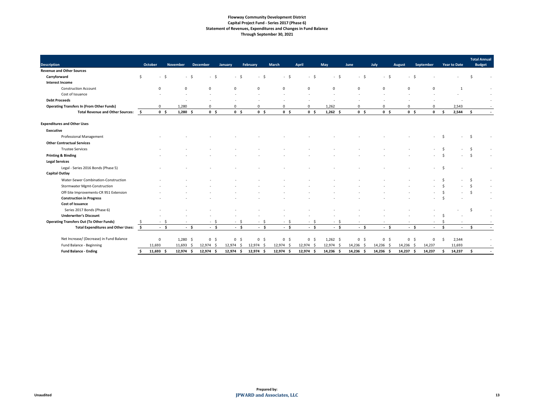### **Flowway Community Development District Capital Project Fund - Series 2017 (Phase 6) Statement of Revenues, Expenditures and Changes in Fund Balance Through September 30, 2021**

| <b>Description</b>                                             | October        | <b>November</b> | <b>December</b>                  | <b>January</b> | February       | <b>March</b>   | <b>April</b>             | <b>May</b>  | <b>June</b>    | July           | <b>August</b>  | September    |                     | <b>Year to Date</b> | <b>Total Annual</b><br><b>Budget</b> |
|----------------------------------------------------------------|----------------|-----------------|----------------------------------|----------------|----------------|----------------|--------------------------|-------------|----------------|----------------|----------------|--------------|---------------------|---------------------|--------------------------------------|
| <b>Revenue and Other Sources</b>                               |                |                 |                                  |                |                |                |                          |             |                |                |                |              |                     |                     |                                      |
| Carryforward<br>Ŝ.                                             | $-$ \$         | - \$            | $-$ \$                           |                |                |                |                          |             |                |                | $\sim$         |              |                     |                     |                                      |
| <b>Interest Income</b>                                         |                |                 |                                  |                |                |                |                          |             |                |                |                |              |                     |                     |                                      |
| <b>Construction Account</b>                                    | $\Omega$       | $\Omega$        | $\Omega$                         | O              | $\Omega$       | $\Omega$       | $\Omega$                 | $\Omega$    | $\Omega$       | $\Omega$       |                |              |                     | $\mathbf 1$         |                                      |
| Cost of Issuance                                               |                |                 |                                  |                |                |                |                          |             |                |                |                |              |                     |                     |                                      |
| <b>Debt Proceeds</b>                                           |                |                 |                                  |                |                |                |                          |             |                |                |                |              |                     |                     |                                      |
| <b>Operating Transfers In (From Other Funds)</b>               | $\mathbf 0$    | 1,280           | $\mathbf{0}$                     | 0              | $\mathbf{0}$   | 0              | $\mathbf 0$              | 1,262       |                |                |                | 0            |                     | 2,543               |                                      |
| <b>Total Revenue and Other Sources:</b><br>$\ddot{\bm{\zeta}}$ | 0 <sup>5</sup> | 1,280<br>-\$    | 0 <sup>5</sup>                   | 0 <sup>5</sup> | 0 <sup>5</sup> | 0 <sup>5</sup> | 0 <sup>5</sup>           | $1,262$ \$  | 0 <sup>5</sup> | 0 <sup>5</sup> | 0 <sup>5</sup> | $\mathbf{0}$ | $\ddot{\bm{\zeta}}$ | 2,544               | -Ś                                   |
| <b>Expenditures and Other Uses</b>                             |                |                 |                                  |                |                |                |                          |             |                |                |                |              |                     |                     |                                      |
| <b>Executive</b>                                               |                |                 |                                  |                |                |                |                          |             |                |                |                |              |                     |                     |                                      |
| <b>Professional Management</b>                                 |                |                 |                                  |                |                |                |                          |             |                |                |                |              | Ŝ.                  |                     | -Ś                                   |
| <b>Other Contractual Services</b>                              |                |                 |                                  |                |                |                |                          |             |                |                |                |              |                     |                     |                                      |
| <b>Trustee Services</b>                                        |                |                 |                                  |                |                |                |                          |             |                |                |                |              |                     |                     |                                      |
| <b>Printing &amp; Binding</b>                                  |                |                 |                                  |                |                |                |                          |             |                |                |                |              |                     |                     |                                      |
| <b>Legal Services</b>                                          |                |                 |                                  |                |                |                |                          |             |                |                |                |              |                     |                     |                                      |
| Legal - Series 2016 Bonds (Phase 5)                            |                |                 |                                  |                |                |                |                          |             |                |                |                |              | -Ś                  |                     |                                      |
| <b>Capital Outlay</b>                                          |                |                 |                                  |                |                |                |                          |             |                |                |                |              |                     |                     |                                      |
| Water-Sewer Combination-Construction                           |                |                 |                                  |                |                |                |                          |             |                |                |                |              |                     |                     | -Ŝ                                   |
| <b>Stormwater Mgmt-Construction</b>                            |                |                 |                                  |                |                |                |                          |             |                |                |                |              |                     |                     |                                      |
| Off-Site Improvements-CR 951 Extension                         |                |                 |                                  |                |                |                |                          |             |                |                |                |              |                     |                     |                                      |
| <b>Construction in Progress</b>                                |                |                 |                                  |                |                |                |                          |             |                |                |                |              |                     |                     |                                      |
| <b>Cost of Issuance</b>                                        |                |                 |                                  |                |                |                |                          |             |                |                |                |              |                     |                     |                                      |
| Series 2017 Bonds (Phase 6)                                    |                |                 |                                  |                |                |                |                          |             |                |                |                |              |                     |                     |                                      |
| <b>Underwriter's Discount</b>                                  |                |                 |                                  |                |                |                |                          |             |                |                |                |              |                     |                     |                                      |
| <b>Operating Transfers Out (To Other Funds)</b>                | $-$ \$         |                 | - \$<br>$\overline{\phantom{a}}$ | - S<br>$\sim$  | $-$ \$         | - S<br>$\sim$  | $\overline{\phantom{a}}$ | -S          |                |                |                |              | \$                  |                     |                                      |
| <b>Total Expenditures and Other Uses:</b><br>- \$              | $-5$           | - \$            | $-5$                             | $-5$           | - \$           | - \$           | - \$                     | $-5$        | - \$           | $-5$           | - \$           |              | S.                  | $\sim$              | - \$                                 |
| Net Increase/ (Decrease) in Fund Balance                       | $\mathbf 0$    | $1,280$ \$      | 0 <sup>5</sup>                   | 0 <sup>5</sup> | $0\quad$ \$    | 0 <sup>5</sup> | 0 <sup>5</sup>           | $1,262$ \$  | $0\frac{1}{2}$ | 0 <sup>5</sup> | 0 <sup>5</sup> | 0            | Ŝ.                  | 2,544               |                                      |
| Fund Balance - Beginning                                       | 11,693         | 11,693<br>ς.    | $12,974$ \$                      | $12,974$ \$    | 12,974 \$      | 12,974 \$      | $12,974$ \$              | 12,974 \$   | 14,236 \$      | 14,236 \$      | 14,236 \$      | 14,237       |                     | 11,693              |                                      |
| <b>Fund Balance - Ending</b>                                   | $11,693$ \$    | $12,974$ \$     | $12,974$ \$                      | 12,974<br>-\$  | $12,974$ \$    | 12,974<br>- \$ | $12,974$ \$              | $14,236$ \$ | $14,236$ \$    | $14,236$ \$    | $14,237$ \$    | 14,237       | \$                  | 14,237              | $\ddot{\bm{\zeta}}$                  |